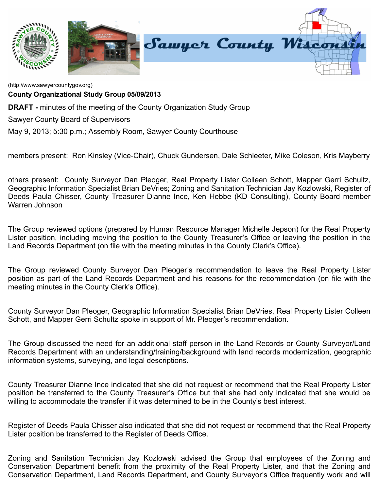

[\(http://www.sawyercountygov.org\)](http://www.sawyercountygov.org/)

County Organizational Study Group 05/09/2013

**DRAFT** - minutes of the meeting of the County Organization Study Group

Sawyer County Board of Supervisors

May 9, 2013; 5:30 p.m.; Assembly Room, Sawyer County Courthouse

members present: Ron Kinsley (Vice-Chair), Chuck Gundersen, Dale Schleeter, Mike Coleson, Kris Mayberry

others present: County Surveyor Dan Pleoger, Real Property Lister Colleen Schott, Mapper Gerri Schultz, Geographic Information Specialist Brian DeVries; Zoning and Sanitation Technician Jay Kozlowski, Register of Deeds Paula Chisser, County Treasurer Dianne Ince, Ken Hebbe (KD Consulting), County Board member Warren Johnson

The Group reviewed options (prepared by Human Resource Manager Michelle Jepson) for the Real Property Lister position, including moving the position to the County Treasurer's Office or leaving the position in the Land Records Department (on file with the meeting minutes in the County Clerk's Office).

The Group reviewed County Surveyor Dan Pleoger's recommendation to leave the Real Property Lister position as part of the Land Records Department and his reasons for the recommendation (on file with the meeting minutes in the County Clerk's Office).

County Surveyor Dan Pleoger, Geographic Information Specialist Brian DeVries, Real Property Lister Colleen Schott, and Mapper Gerri Schultz spoke in support of Mr. Pleoger's recommendation.

The Group discussed the need for an additional staff person in the Land Records or County Surveyor/Land Records Department with an understanding/training/background with land records modernization, geographic information systems, surveying, and legal descriptions.

County Treasurer Dianne Ince indicated that she did not request or recommend that the Real Property Lister position be transferred to the County Treasurer's Office but that she had only indicated that she would be willing to accommodate the transfer if it was determined to be in the County's best interest.

Register of Deeds Paula Chisser also indicated that she did not request or recommend that the Real Property Lister position be transferred to the Register of Deeds Office.

Zoning and Sanitation Technician Jay Kozlowski advised the Group that employees of the Zoning and Conservation Department benefit from the proximity of the Real Property Lister, and that the Zoning and Conservation Department, Land Records Department, and County Surveyor's Office frequently work and will